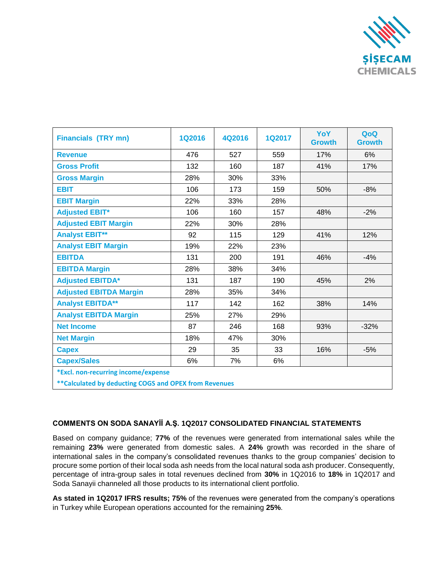

| <b>Financials (TRY mn)</b>                             | <b>1Q2016</b> | 4Q2016 | <b>1Q2017</b> | YoY<br><b>Growth</b> | QoQ<br><b>Growth</b> |
|--------------------------------------------------------|---------------|--------|---------------|----------------------|----------------------|
| <b>Revenue</b>                                         | 476           | 527    | 559           | 17%                  | 6%                   |
| <b>Gross Profit</b>                                    | 132           | 160    | 187           | 41%                  | 17%                  |
| <b>Gross Margin</b>                                    | 28%           | 30%    | 33%           |                      |                      |
| <b>EBIT</b>                                            | 106           | 173    | 159           | 50%                  | $-8%$                |
| <b>EBIT Margin</b>                                     | 22%           | 33%    | 28%           |                      |                      |
| <b>Adjusted EBIT*</b>                                  | 106           | 160    | 157           | 48%                  | $-2%$                |
| <b>Adjusted EBIT Margin</b>                            | 22%           | 30%    | 28%           |                      |                      |
| <b>Analyst EBIT**</b>                                  | 92            | 115    | 129           | 41%                  | 12%                  |
| <b>Analyst EBIT Margin</b>                             | 19%           | 22%    | 23%           |                      |                      |
| <b>EBITDA</b>                                          | 131           | 200    | 191           | 46%                  | $-4%$                |
| <b>EBITDA Margin</b>                                   | 28%           | 38%    | 34%           |                      |                      |
| <b>Adjusted EBITDA*</b>                                | 131           | 187    | 190           | 45%                  | 2%                   |
| <b>Adjusted EBITDA Margin</b>                          | 28%           | 35%    | 34%           |                      |                      |
| <b>Analyst EBITDA**</b>                                | 117           | 142    | 162           | 38%                  | 14%                  |
| <b>Analyst EBITDA Margin</b>                           | 25%           | 27%    | 29%           |                      |                      |
| <b>Net Income</b>                                      | 87            | 246    | 168           | 93%                  | $-32%$               |
| <b>Net Margin</b>                                      | 18%           | 47%    | 30%           |                      |                      |
| <b>Capex</b>                                           | 29            | 35     | 33            | 16%                  | $-5%$                |
| <b>Capex/Sales</b>                                     | 6%            | 7%     | 6%            |                      |                      |
| *Excl. non-recurring income/expense                    |               |        |               |                      |                      |
| ** Calculated by deducting COGS and OPEX from Revenues |               |        |               |                      |                      |

## **COMMENTS ON SODA SANAYİİ A.Ş. 1Q2017 CONSOLIDATED FINANCIAL STATEMENTS**

Based on company guidance; **77%** of the revenues were generated from international sales while the remaining **23%** were generated from domestic sales. A **24%** growth was recorded in the share of international sales in the company's consolidated revenues thanks to the group companies' decision to procure some portion of their local soda ash needs from the local natural soda ash producer. Consequently, percentage of intra-group sales in total revenues declined from **30%** in 1Q2016 to **18%** in 1Q2017 and Soda Sanayii channeled all those products to its international client portfolio.

**As stated in 1Q2017 IFRS results; 75%** of the revenues were generated from the company's operations in Turkey while European operations accounted for the remaining **25%**.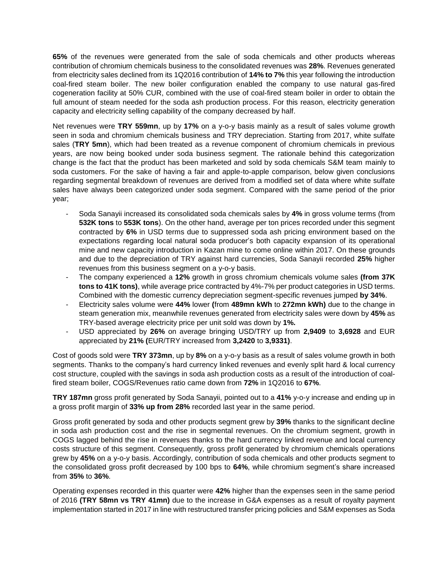**65%** of the revenues were generated from the sale of soda chemicals and other products whereas contribution of chromium chemicals business to the consolidated revenues was **28%**. Revenues generated from electricity sales declined from its 1Q2016 contribution of **14% to 7%** this year following the introduction coal-fired steam boiler. The new boiler configuration enabled the company to use natural gas-fired cogeneration facility at 50% CUR, combined with the use of coal-fired steam boiler in order to obtain the full amount of steam needed for the soda ash production process. For this reason, electricity generation capacity and electricity selling capability of the company decreased by half.

Net revenues were **TRY 559mn**, up by **17%** on a y-o-y basis mainly as a result of sales volume growth seen in soda and chromium chemicals business and TRY depreciation. Starting from 2017, white sulfate sales (**TRY 5mn**), which had been treated as a revenue component of chromium chemicals in previous years, are now being booked under soda business segment. The rationale behind this categorization change is the fact that the product has been marketed and sold by soda chemicals S&M team mainly to soda customers. For the sake of having a fair and apple-to-apple comparison, below given conclusions regarding segmental breakdown of revenues are derived from a modified set of data where white sulfate sales have always been categorized under soda segment. Compared with the same period of the prior year;

- Soda Sanayii increased its consolidated soda chemicals sales by **4%** in gross volume terms (from **532K tons** to **553K tons**). On the other hand, average per ton prices recorded under this segment contracted by **6%** in USD terms due to suppressed soda ash pricing environment based on the expectations regarding local natural soda producer's both capacity expansion of its operational mine and new capacity introduction in Kazan mine to come online within 2017. On these grounds and due to the depreciation of TRY against hard currencies, Soda Sanayii recorded **25%** higher revenues from this business segment on a y-o-y basis.
- The company experienced a **12%** growth in gross chromium chemicals volume sales **(from 37K tons to 41K tons)**, while average price contracted by 4%-7% per product categories in USD terms. Combined with the domestic currency depreciation segment-specific revenues jumped **by 34%**.
- Electricity sales volume were **44%** lower **(**from **489mn kWh** to **272mn kWh)** due to the change in steam generation mix, meanwhile revenues generated from electricity sales were down by **45%** as TRY-based average electricity price per unit sold was down by **1%.**
- USD appreciated by **26%** on average bringing USD/TRY up from **2,9409** to **3,6928** and EUR appreciated by **21% (**EUR/TRY increased from **3,2420** to **3,9331)**.

Cost of goods sold were **TRY 373mn**, up by **8%** on a y-o-y basis as a result of sales volume growth in both segments. Thanks to the company's hard currency linked revenues and evenly split hard & local currency cost structure, coupled with the savings in soda ash production costs as a result of the introduction of coalfired steam boiler, COGS/Revenues ratio came down from **72%** in 1Q2016 to **67%**.

**TRY 187mn** gross profit generated by Soda Sanayii, pointed out to a **41%** y-o-y increase and ending up in a gross profit margin of **33% up from 28%** recorded last year in the same period.

Gross profit generated by soda and other products segment grew by **39%** thanks to the significant decline in soda ash production cost and the rise in segmental revenues. On the chromium segment, growth in COGS lagged behind the rise in revenues thanks to the hard currency linked revenue and local currency costs structure of this segment. Consequently, gross profit generated by chromium chemicals operations grew by **45%** on a y-o-y basis. Accordingly, contribution of soda chemicals and other products segment to the consolidated gross profit decreased by 100 bps to **64%**, while chromium segment's share increased from **35%** to **36%**.

Operating expenses recorded in this quarter were **42%** higher than the expenses seen in the same period of 2016 **(TRY 58mn vs TRY 41mn)** due to the increase in G&A expenses as a result of royalty payment implementation started in 2017 in line with restructured transfer pricing policies and S&M expenses as Soda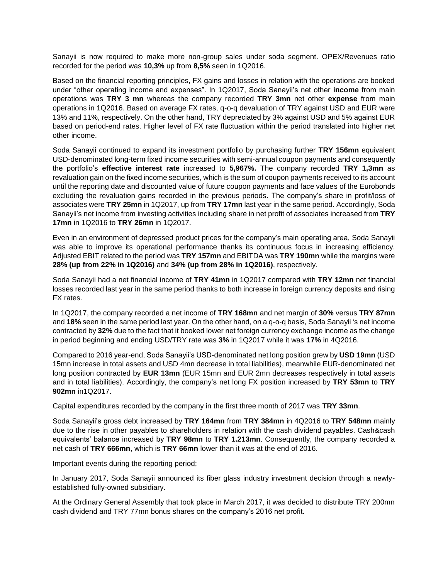Sanayii is now required to make more non-group sales under soda segment. OPEX/Revenues ratio recorded for the period was **10,3%** up from **8,5%** seen in 1Q2016.

Based on the financial reporting principles, FX gains and losses in relation with the operations are booked under "other operating income and expenses". In 1Q2017, Soda Sanayii's net other **income** from main operations was **TRY 3 mn** whereas the company recorded **TRY 3mn** net other **expense** from main operations in 1Q2016. Based on average FX rates, q-o-q devaluation of TRY against USD and EUR were 13% and 11%, respectively. On the other hand, TRY depreciated by 3% against USD and 5% against EUR based on period-end rates. Higher level of FX rate fluctuation within the period translated into higher net other income.

Soda Sanayii continued to expand its investment portfolio by purchasing further **TRY 156mn** equivalent USD-denominated long-term fixed income securities with semi-annual coupon payments and consequently the portfolio's **effective interest rate** increased to **5,967%.** The company recorded **TRY 1,3mn** as revaluation gain on the fixed income securities, which is the sum of coupon payments received to its account until the reporting date and discounted value of future coupon payments and face values of the Eurobonds excluding the revaluation gains recorded in the previous periods. The company's share in profit/loss of associates were **TRY 25mn** in 1Q2017, up from **TRY 17mn** last year in the same period. Accordingly, Soda Sanayii's net income from investing activities including share in net profit of associates increased from **TRY 17mn** in 1Q2016 to **TRY 26mn** in 1Q2017.

Even in an environment of depressed product prices for the company's main operating area, Soda Sanayii was able to improve its operational performance thanks its continuous focus in increasing efficiency. Adjusted EBIT related to the period was **TRY 157mn** and EBITDA was **TRY 190mn** while the margins were **28% (up from 22% in 1Q2016)** and **34% (up from 28% in 1Q2016)**, respectively.

Soda Sanayii had a net financial income of **TRY 41mn** in 1Q2017 compared with **TRY 12mn** net financial losses recorded last year in the same period thanks to both increase in foreign currency deposits and rising FX rates.

In 1Q2017, the company recorded a net income of **TRY 168mn** and net margin of **30%** versus **TRY 87mn** and **18%** seen in the same period last year. On the other hand, on a q-o-q basis, Soda Sanayii 's net income contracted by **32%** due to the fact that it booked lower net foreign currency exchange income as the change in period beginning and ending USD/TRY rate was **3%** in 1Q2017 while it was **17%** in 4Q2016.

Compared to 2016 year-end, Soda Sanayii's USD-denominated net long position grew by **USD 19mn** (USD 15mn increase in total assets and USD 4mn decrease in total liabilities), meanwhile EUR-denominated net long position contracted by **EUR 13mn** (EUR 15mn and EUR 2mn decreases respectively in total assets and in total liabilities). Accordingly, the company's net long FX position increased by **TRY 53mn** to **TRY 902mn** in1Q2017.

Capital expenditures recorded by the company in the first three month of 2017 was **TRY 33mn**.

Soda Sanayii's gross debt increased by **TRY 164mn** from **TRY 384mn** in 4Q2016 to **TRY 548mn** mainly due to the rise in other payables to shareholders in relation with the cash dividend payables. Cash&cash equivalents' balance increased by **TRY 98mn** to **TRY 1.213mn**. Consequently, the company recorded a net cash of **TRY 666mn**, which is **TRY 66mn** lower than it was at the end of 2016.

## Important events during the reporting period;

In January 2017, Soda Sanayii announced its fiber glass industry investment decision through a newlyestablished fully-owned subsidiary.

At the Ordinary General Assembly that took place in March 2017, it was decided to distribute TRY 200mn cash dividend and TRY 77mn bonus shares on the company's 2016 net profit.